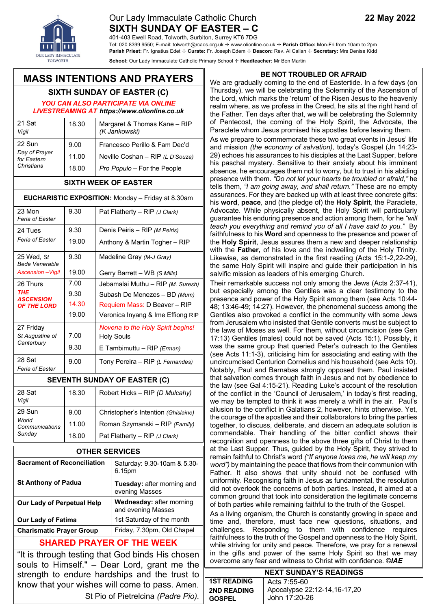### Our Lady Immaculate Catholic Church **22 May 2022 SIXTH SUNDAY OF EASTER – C**

401-403 Ewell Road, Tolworth, Surbiton, Surrey KT6 7DG

Tel: 020 8399 9550; E-mail: tolworth@rcaos.org.uk ✢ www.olionline.co.uk ✢ **Parish Office:** Mon-Fri from 10am to 2pm **Parish Priest:** Fr. Ignatius Edet ✢ **Curate:** Fr. Joseph Edem ✢ **Deacon:** Rev. Al Callan ✢ **Secretary:** Mrs Denise Kidd

**School:** Our Lady Immaculate Catholic Primary School ✢ **Headteacher:** Mr Ben Martin

## **MASS INTENTIONS AND PRAYERS**

# **SIXTH SUNDAY OF EASTER (C)**

*YOU CAN ALSO PARTICIPATE VIA ONLINE LIVESTREAMING AT https://www.olionline.co.uk*

| 21 Sat<br>Vigil                                      | 18.30                  | Margaret & Thomas Kane - RIP<br>(K Jankowski)                                                    |
|------------------------------------------------------|------------------------|--------------------------------------------------------------------------------------------------|
| 22 Sun<br>Day of Prayer<br>for Eastern<br>Christians | 9.00<br>11.00<br>18.00 | Francesco Perillo & Fam Dec'd<br>Neville Coshan - RIP (L D'Souza)<br>Pro Populo – For the People |

#### **SIXTH WEEK OF EASTER**

#### **EUCHARISTIC EXPOSITION:** Monday – Friday at 8.30am

| 23 Mon<br>Feria of Easter           | 9.30  | Pat Flatherty - RIP (J Clark)                                              |  |  |
|-------------------------------------|-------|----------------------------------------------------------------------------|--|--|
| 24 Tues                             | 9.30  | Denis Peiris - RIP (M Peiris)                                              |  |  |
| Feria of Easter                     | 19.00 | Anthony & Martin Togher - RIP                                              |  |  |
| 25 Wed. St<br><b>Bede Venerable</b> | 9.30  | Madeline Gray (M-J Gray)                                                   |  |  |
| <b>Ascension</b> - Vigil            | 19.00 | Gerry Barrett - WB (S Mills)                                               |  |  |
| 26 Thurs                            | 7.00  | Jebamalai Muthu - RIP (M. Suresh)                                          |  |  |
| <b>THE</b><br><b>ASCENSION</b>      | 9.30  | Subash De Menezes - BD (Mum)                                               |  |  |
| <b>OF THE LORD</b>                  | 14.30 | Requiem Mass: D Beaver - RIP                                               |  |  |
|                                     | 19.00 | Veronica Inyang & Ime Effiong RIP                                          |  |  |
| 27 Friday                           |       | Novena to the Holy Spirit begins!                                          |  |  |
| St Augustine of<br>Canterbury       | 7.00  | <b>Holy Souls</b>                                                          |  |  |
|                                     | 9.30  | E Tambimuttu - RIP (Erman)                                                 |  |  |
| 28 Sat<br>Feria of Easter           | 9.00  | Tony Pereira - RIP (L Fernandes)                                           |  |  |
| <b>SEVENTH SUNDAY OF EASTER (C)</b> |       |                                                                            |  |  |
| 28 Sat<br>Vigil                     | 18.30 | Robert Hicks - RIP (D Mulcahy)                                             |  |  |
| 29 Sun                              | 9.00  | Christopher's Intention (Ghislaine)                                        |  |  |
| World<br>Communications             | 11.00 | Roman Szymanski - RIP (Family)                                             |  |  |
| Sunday                              | 12 NN | $\mathsf{D}\mathsf{a}$ t Elathartu $\Box\mathsf{D}$ / L $\mathsf{C}$ larlu |  |  |

| <b>OTHER SERVICES</b>              |                                                |  |  |  |
|------------------------------------|------------------------------------------------|--|--|--|
| <b>Sacrament of Reconciliation</b> | Saturday: 9.30-10am & 5.30-<br>6.15pm          |  |  |  |
| <b>St Anthony of Padua</b>         | Tuesday: after morning and<br>evening Masses   |  |  |  |
| <b>Our Lady of Perpetual Help</b>  | Wednesday: after morning<br>and evening Masses |  |  |  |
| <b>Our Lady of Fatima</b>          | 1st Saturday of the month                      |  |  |  |
| <b>Charismatic Prayer Group</b>    | Friday, 7.30pm, Old Chapel                     |  |  |  |

Pat Flatherty – RIP *(J Clark)*

18.00

### **SHARED PRAYER OF THE WEEK**

"It is through testing that God binds His chosen souls to Himself." – Dear Lord, grant me the strength to endure hardships and the trust to know that your wishes will come to pass. Amen. St Pio of Pietrelcina *(Padre Pio).*

#### **BE NOT TROUBLED OR AFRAID**

We are gradually coming to the end of Eastertide. In a few days (on Thursday), we will be celebrating the Solemnity of the Ascension of the Lord, which marks the 'return' of the Risen Jesus to the heavenly realm where, as we profess in the Creed, he sits at the right hand of the Father. Ten days after that, we will be celebrating the Solemnity of Pentecost, the coming of the Holy Spirit, the Advocate, the Paraclete whom Jesus promised his apostles before leaving them.

As we prepare to commemorate these two great events in Jesus' life and mission *(the economy of salvation),* today's Gospel (Jn 14:23- 29) echoes his assurances to his disciples at the Last Supper, before his paschal mystery. Sensitive to their anxiety about his imminent absence, he encourages them not to worry, but to trust in his abiding presence with them. *"Do not let your hearts be troubled or afraid,"* he tells them, *"I am going away, and shall return."* These are no empty assurances. For they are backed up with at least three concrete gifts: his **word**, **peace**, and (the pledge of) the **Holy Spirit**, the Paraclete, Advocate. While physically absent, the Holy Spirit will particularly guarantee his enduring presence and action among them, for he *"will teach you everything and remind you of all I have said to you."* By faithfulness to his **Word** and openness to the presence and power of the **Holy Spirit**, Jesus assures them a new and deeper relationship with the **Father,** of his love and the indwelling of the Holy Trinity. Likewise, as demonstrated in the first reading (Acts 15:1-2,22-29), the same Holy Spirit will inspire and guide their participation in his salvific mission as leaders of his emerging Church.

Their remarkable success not only among the Jews (Acts 2:37-41), but especially among the Gentiles was a clear testimony to the presence and power of the Holy Spirit among them (see Acts 10:44- 48; 13:46-49; 14:27). However, the phenomenal success among the Gentiles also provoked a conflict in the community with some Jews from Jerusalem who insisted that Gentile converts must be subject to the laws of Moses as well. For them, without circumcision (see Gen 17:13) Gentiles (males) could not be saved (Acts 15:1). Possibly, it was the same group that queried Peter's outreach to the Gentiles (see Acts 11:1-3), criticising him for associating and eating with the uncircumcised Centurion Cornelius and his household (see Acts 10). Notably, Paul and Barnabas strongly opposed them. Paul insisted that salvation comes through faith in Jesus and not by obedience to the law (see Gal 4:15-21). Reading Luke's account of the resolution of the conflict in the 'Council of Jerusalem,' in today's first reading, we may be tempted to think it was merely a whiff in the air. Paul's allusion to the conflict in Galatians 2, however, hints otherwise. Yet, the courage of the apostles and their collaborators to bring the parties together, to discuss, deliberate, and discern an adequate solution is commendable. Their handling of the bitter conflict shows their recognition and openness to the above three gifts of Christ to them at the Last Supper. Thus, guided by the Holy Spirit, they strived to remain faithful to Christ's word *("If anyone loves me, he will keep my word")* by maintaining the peace that flows from their communion with Father. It also shows that unity should not be confused with uniformity. Recognising faith in Jesus as fundamental, the resolution did not overlook the concerns of both parties. Instead, it aimed at a common ground that took into consideration the legitimate concerns of both parties while remaining faithful to the truth of the Gospel.

As a living organism, the Church is constantly growing in space and time and, therefore, must face new questions, situations, and challenges. Responding to them with confidence requires faithfulness to the truth of the Gospel and openness to the Holy Spirit, while striving for unity and peace. Therefore, we pray for a renewal in the gifts and power of the same Holy Spirit so that we may overcome any fear and witness to Christ with confidence. ©*IAE*

| <b>NEXT SUNDAY'S READINGS</b> |                              |  |  |  |
|-------------------------------|------------------------------|--|--|--|
| <b>1ST READING</b>            | l Acts 7:55-60               |  |  |  |
| <b>2ND READING</b>            | Apocalypse 22:12-14,16-17,20 |  |  |  |
| <b>GOSPEL</b>                 | John 17:20-26                |  |  |  |



eve